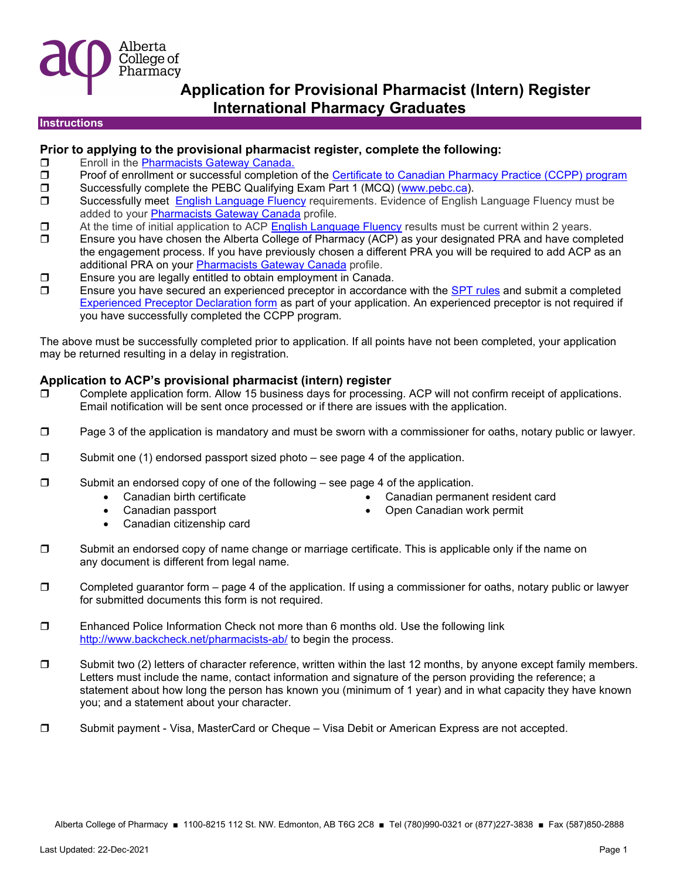

#### **Instructions**

## Prior to applying to the provisional pharmacist register, complete the following:

- **Enroll in the Pharmacists Gateway Canada.**
- Proof of enrollment or successful completion of the Certificate to Canadian Pharmacy Practice (CCPP) program
- □ Successfully complete the PEBC Qualifying Exam Part 1 (MCQ) (www.pebc.ca).
- □ Successfully meet English Language Fluency requirements. Evidence of English Language Fluency must be added to your Pharmacists Gateway Canada profile.
- $\Box$  At the time of initial application to ACP English Language Fluency results must be current within 2 years.
- Ensure you have chosen the Alberta College of Pharmacy (ACP) as your designated PRA and have completed the engagement process. If you have previously chosen a different PRA you will be required to add ACP as an additional PRA on your Pharmacists Gateway Canada profile.
- $\square$  Ensure you are legally entitled to obtain employment in Canada.
- $\Box$  Ensure you have secured an experienced preceptor in accordance with the SPT rules and submit a completed Experienced Preceptor Declaration form as part of your application. An experienced preceptor is not required if you have successfully completed the CCPP program.

The above must be successfully completed prior to application. If all points have not been completed, your application may be returned resulting in a delay in registration.

## Application to ACP's provisional pharmacist (intern) register

- Complete application form. Allow 15 business days for processing. ACP will not confirm receipt of applications. Email notification will be sent once processed or if there are issues with the application.
- □ Page 3 of the application is mandatory and must be sworn with a commissioner for oaths, notary public or lawyer.
- $\square$  Submit one (1) endorsed passport sized photo see page 4 of the application.
- $\square$  Submit an endorsed copy of one of the following see page 4 of the application.
	- -
	- Canadian birth certificate Canadian permanent resident card
		- Canadian passport Open Canadian work permit
	- Canadian citizenship card
- Submit an endorsed copy of name change or marriage certificate. This is applicable only if the name on any document is different from legal name.
- $\square$  Completed guarantor form page 4 of the application. If using a commissioner for oaths, notary public or lawyer for submitted documents this form is not required.
- $\Box$  Enhanced Police Information Check not more than 6 months old. Use the following link http://www.backcheck.net/pharmacists-ab/ to begin the process.
- $\square$  Submit two (2) letters of character reference, written within the last 12 months, by anyone except family members. Letters must include the name, contact information and signature of the person providing the reference; a statement about how long the person has known you (minimum of 1 year) and in what capacity they have known you; and a statement about your character.
- Submit payment Visa, MasterCard or Cheque Visa Debit or American Express are not accepted.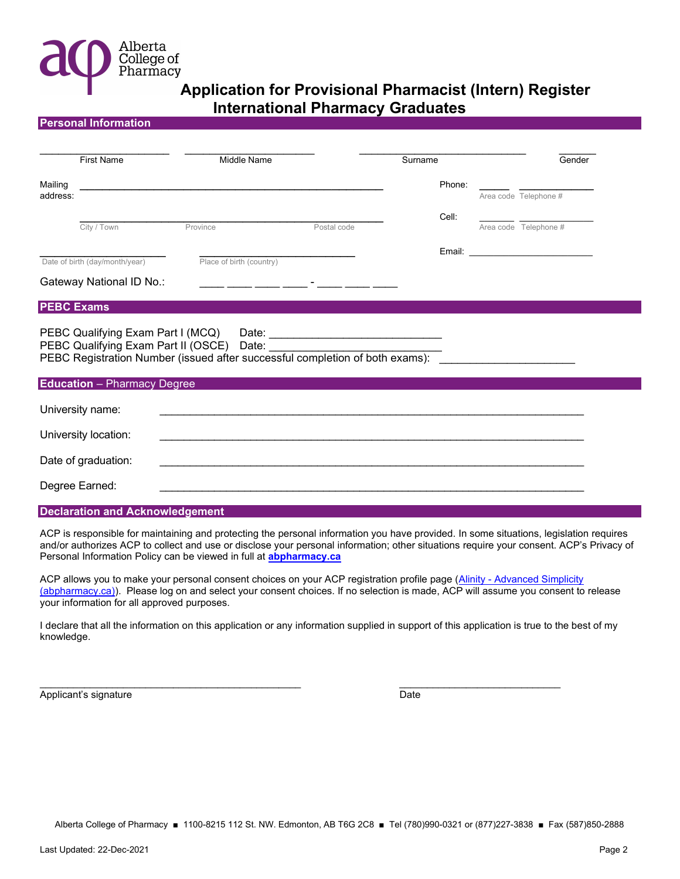

## Personal Information

|                     | <b>First Name</b>                  | <b>Middle Name</b>                                                           |             | Surname | Gender                |
|---------------------|------------------------------------|------------------------------------------------------------------------------|-------------|---------|-----------------------|
| Mailing<br>address: |                                    | <u> 1989 - Johann Stoff, amerikansk politiker (d. 1989)</u>                  |             | Phone:  | Area code Telephone # |
|                     |                                    |                                                                              |             |         |                       |
|                     | City / Town                        | Province                                                                     | Postal code | Cell:   | Area code Telephone # |
|                     |                                    |                                                                              |             |         |                       |
|                     | Date of birth (day/month/year)     | Place of birth (country)                                                     |             |         |                       |
|                     | Gateway National ID No.:           |                                                                              |             |         |                       |
| <b>PEBC Exams</b>   |                                    |                                                                              |             |         |                       |
|                     | PEBC Qualifying Exam Part I (MCQ)  | PEBC Registration Number (issued after successful completion of both exams): |             |         |                       |
|                     | <b>Education</b> - Pharmacy Degree |                                                                              |             |         |                       |
| University name:    |                                    | <u> 1989 - Johann Stoff, amerikansk politiker (d. 1989)</u>                  |             |         |                       |
|                     | University location:               | <u> 1989 - Johann Stoff, amerikansk politiker (d. 1989)</u>                  |             |         |                       |
|                     | Date of graduation:                |                                                                              |             |         |                       |

ACP is responsible for maintaining and protecting the personal information you have provided. In some situations, legislation requires and/or authorizes ACP to collect and use or disclose your personal information; other situations require your consent. ACP's Privacy of Personal Information Policy can be viewed in full at **abpharmacy.ca** 

ACP allows you to make your personal consent choices on your ACP registration profile page (Alinity - Advanced Simplicity (abpharmacy.ca)). Please log on and select your consent choices. If no selection is made, ACP will assume you consent to release your information for all approved purposes.

I declare that all the information on this application or any information supplied in support of this application is true to the best of my knowledge.

 $\overline{\phantom{a}}$  , and the contribution of the contribution of  $\overline{\phantom{a}}$  , and  $\overline{\phantom{a}}$  , and  $\overline{\phantom{a}}$  , and  $\overline{\phantom{a}}$ 

Applicant's signature **Date** Date **Date**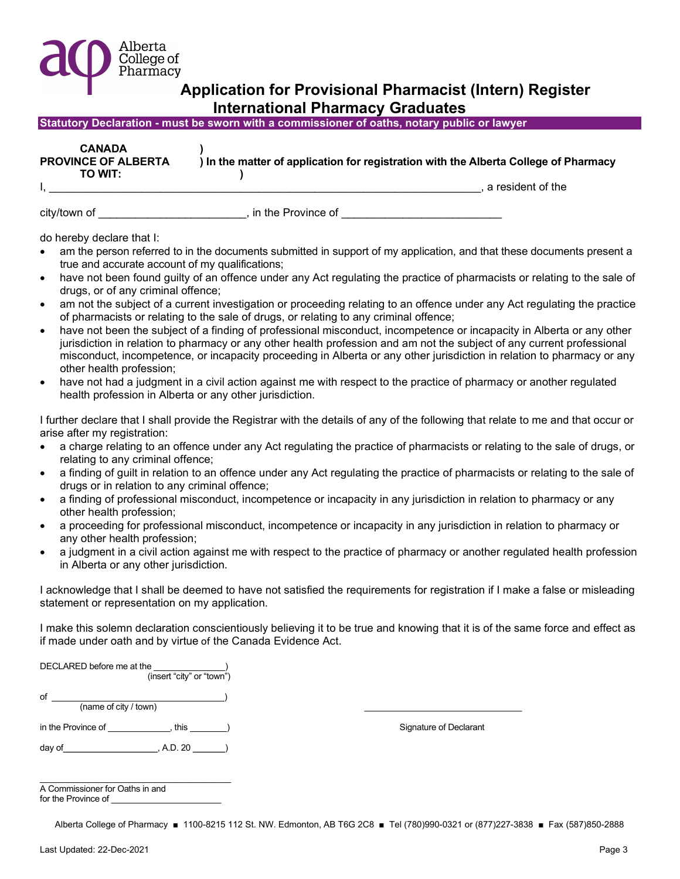

# Application for Provisional Pharmacist (Intern) Register

International Pharmacy Graduates

| Statutory Declaration - must be sworn with a commissioner of oaths, notary public or lawyer $\overline{\phantom{a}}$ |  |  |
|----------------------------------------------------------------------------------------------------------------------|--|--|
|                                                                                                                      |  |  |

| <b>CANADA</b><br><b>PROVINCE OF ALBERTA</b><br>TO WIT: | ) In the matter of application for registration with the Alberta College of Pharmacy |
|--------------------------------------------------------|--------------------------------------------------------------------------------------|
|                                                        | . a resident of the                                                                  |

city/town of \_\_\_\_\_\_\_\_\_\_\_\_\_\_\_\_\_\_\_\_\_\_\_\_\_\_, in the Province of \_\_\_\_\_\_\_\_\_\_\_\_\_\_\_\_\_\_\_\_

do hereby declare that I:

- am the person referred to in the documents submitted in support of my application, and that these documents present a true and accurate account of my qualifications;
- have not been found guilty of an offence under any Act regulating the practice of pharmacists or relating to the sale of drugs, or of any criminal offence;
- am not the subject of a current investigation or proceeding relating to an offence under any Act regulating the practice of pharmacists or relating to the sale of drugs, or relating to any criminal offence;
- have not been the subject of a finding of professional misconduct, incompetence or incapacity in Alberta or any other jurisdiction in relation to pharmacy or any other health profession and am not the subject of any current professional misconduct, incompetence, or incapacity proceeding in Alberta or any other jurisdiction in relation to pharmacy or any other health profession;
- have not had a judgment in a civil action against me with respect to the practice of pharmacy or another regulated health profession in Alberta or any other jurisdiction.

I further declare that I shall provide the Registrar with the details of any of the following that relate to me and that occur or arise after my registration:

- a charge relating to an offence under any Act regulating the practice of pharmacists or relating to the sale of drugs, or relating to any criminal offence;
- a finding of guilt in relation to an offence under any Act regulating the practice of pharmacists or relating to the sale of drugs or in relation to any criminal offence;
- a finding of professional misconduct, incompetence or incapacity in any jurisdiction in relation to pharmacy or any other health profession;
- a proceeding for professional misconduct, incompetence or incapacity in any jurisdiction in relation to pharmacy or any other health profession;
- a judgment in a civil action against me with respect to the practice of pharmacy or another regulated health profession in Alberta or any other jurisdiction.

I acknowledge that I shall be deemed to have not satisfied the requirements for registration if I make a false or misleading statement or representation on my application.

I make this solemn declaration conscientiously believing it to be true and knowing that it is of the same force and effect as if made under oath and by virtue of the Canada Evidence Act.

| DECLARED before me at the<br>(insert "city" or "town") |                        |
|--------------------------------------------------------|------------------------|
| of<br>(name of city / town)                            |                        |
| in the Province of<br>. this                           | Signature of Declarant |
| day of_<br>, A.D. 20                                   |                        |
| A Commissioner for Oaths in and                        |                        |

for the Province of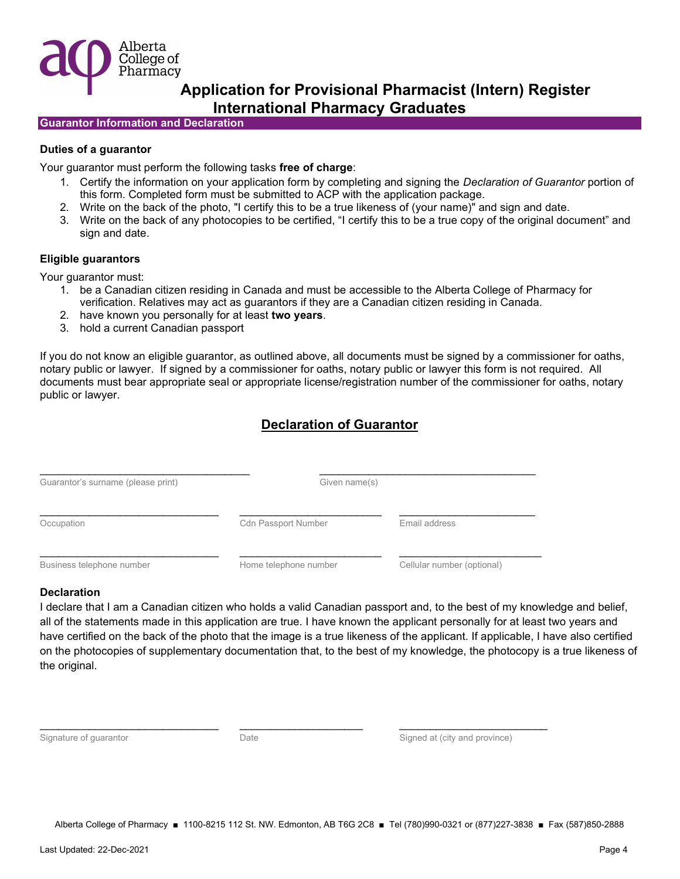

#### Guarantor Information and Declaration

## Duties of a guarantor

Your guarantor must perform the following tasks free of charge:

- 1. Certify the information on your application form by completing and signing the Declaration of Guarantor portion of this form. Completed form must be submitted to ACP with the application package.
- 2. Write on the back of the photo, "I certify this to be a true likeness of (your name)" and sign and date.
- 3. Write on the back of any photocopies to be certified, "I certify this to be a true copy of the original document" and sign and date.

#### Eligible guarantors

Your guarantor must:

- 1. be a Canadian citizen residing in Canada and must be accessible to the Alberta College of Pharmacy for verification. Relatives may act as guarantors if they are a Canadian citizen residing in Canada.
- 2. have known you personally for at least two years.
- 3. hold a current Canadian passport

If you do not know an eligible guarantor, as outlined above, all documents must be signed by a commissioner for oaths, notary public or lawyer. If signed by a commissioner for oaths, notary public or lawyer this form is not required. All documents must bear appropriate seal or appropriate license/registration number of the commissioner for oaths, notary public or lawyer.

## Declaration of Guarantor

| Guarantor's surname (please print) | Given name(s)              |                            |
|------------------------------------|----------------------------|----------------------------|
| Occupation                         | <b>Cdn Passport Number</b> | Email address              |
| Business telephone number          | Home telephone number      | Cellular number (optional) |

\_\_\_\_\_\_\_\_\_\_\_\_\_\_\_\_\_\_\_\_\_\_\_\_\_\_\_\_\_ \_\_\_\_\_\_\_\_\_\_\_\_\_\_\_\_\_\_\_\_ \_\_\_\_\_\_\_\_\_\_\_\_\_\_\_\_\_\_\_\_\_\_\_\_

## **Declaration**

I declare that I am a Canadian citizen who holds a valid Canadian passport and, to the best of my knowledge and belief, all of the statements made in this application are true. I have known the applicant personally for at least two years and have certified on the back of the photo that the image is a true likeness of the applicant. If applicable, I have also certified on the photocopies of supplementary documentation that, to the best of my knowledge, the photocopy is a true likeness of the original.

Signature of guarantor **Signature of guarantor** Control Cate Signed at (city and province) Signed at (city and province)